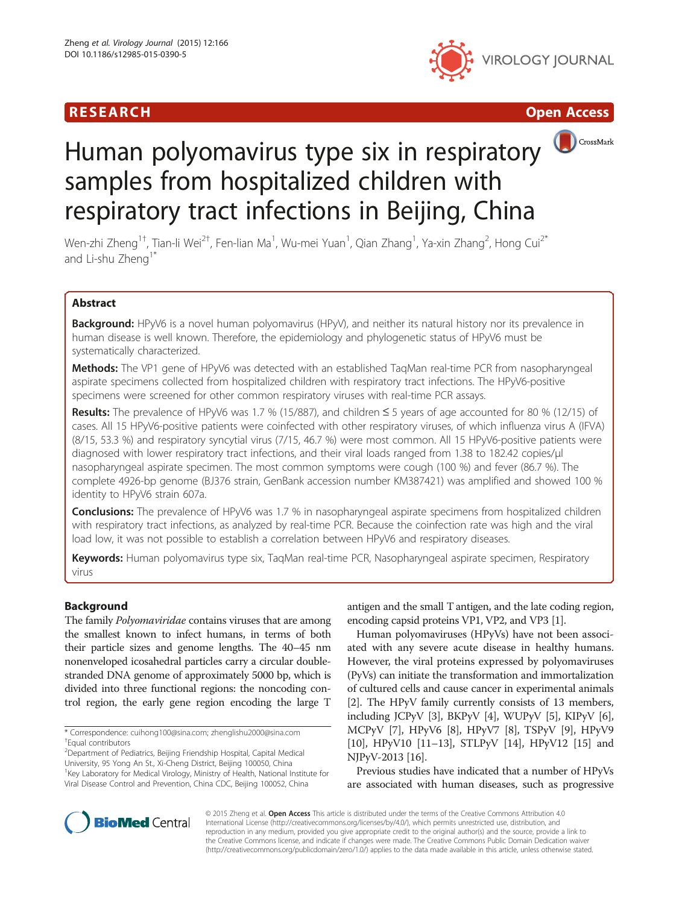





CrossMark

# Human polyomavirus type six in respiratory samples from hospitalized children with respiratory tract infections in Beijing, China

Wen-zhi Zheng $^{1\dagger}$ , Tian-li Wei $^{2\dagger}$ , Fen-lian Ma $^{1}$ , Wu-mei Yuan $^{1}$ , Qian Zhang $^{1}$ , Ya-xin Zhang $^{2}$ , Hong Cui $^{2^\ast}$ and Li-shu Zheng<sup>1\*</sup>

# Abstract

Background: HPyV6 is a novel human polyomavirus (HPyV), and neither its natural history nor its prevalence in human disease is well known. Therefore, the epidemiology and phylogenetic status of HPyV6 must be systematically characterized.

Methods: The VP1 gene of HPyV6 was detected with an established TaqMan real-time PCR from nasopharyngeal aspirate specimens collected from hospitalized children with respiratory tract infections. The HPyV6-positive specimens were screened for other common respiratory viruses with real-time PCR assays.

Results: The prevalence of HPyV6 was 1.7 % (15/887), and children  $\leq$  5 years of age accounted for 80 % (12/15) of cases. All 15 HPyV6-positive patients were coinfected with other respiratory viruses, of which influenza virus A (IFVA) (8/15, 53.3 %) and respiratory syncytial virus (7/15, 46.7 %) were most common. All 15 HPyV6-positive patients were diagnosed with lower respiratory tract infections, and their viral loads ranged from 1.38 to 182.42 copies/μl nasopharyngeal aspirate specimen. The most common symptoms were cough (100 %) and fever (86.7 %). The complete 4926-bp genome (BJ376 strain, GenBank accession number KM387421) was amplified and showed 100 % identity to HPyV6 strain 607a.

**Conclusions:** The prevalence of HPyV6 was 1.7 % in nasopharyngeal aspirate specimens from hospitalized children with respiratory tract infections, as analyzed by real-time PCR. Because the coinfection rate was high and the viral load low, it was not possible to establish a correlation between HPyV6 and respiratory diseases.

Keywords: Human polyomavirus type six, TaqMan real-time PCR, Nasopharyngeal aspirate specimen, Respiratory virus

# Background

The family Polyomaviridae contains viruses that are among the smallest known to infect humans, in terms of both their particle sizes and genome lengths. The 40–45 nm nonenveloped icosahedral particles carry a circular doublestranded DNA genome of approximately 5000 bp, which is divided into three functional regions: the noncoding control region, the early gene region encoding the large T

\* Correspondence: [cuihong100@sina.com;](mailto:cuihong100@sina.com) [zhenglishu2000@sina.com](mailto:zhenglishu2000@sina.com) † Equal contributors

<sup>2</sup>Department of Pediatrics, Beijing Friendship Hospital, Capital Medical University, 95 Yong An St., Xi-Cheng District, Beijing 100050, China <sup>1</sup>Key Laboratory for Medical Virology, Ministry of Health, National Institute for Viral Disease Control and Prevention, China CDC, Beijing 100052, China

antigen and the small T antigen, and the late coding region, encoding capsid proteins VP1, VP2, and VP3 [\[1\]](#page-5-0).

Human polyomaviruses (HPyVs) have not been associated with any severe acute disease in healthy humans. However, the viral proteins expressed by polyomaviruses (PyVs) can initiate the transformation and immortalization of cultured cells and cause cancer in experimental animals [[2\]](#page-5-0). The HPyV family currently consists of 13 members, including JCPyV [[3](#page-5-0)], BKPyV [\[4\]](#page-5-0), WUPyV [[5\]](#page-5-0), KIPyV [[6](#page-5-0)], MCPyV [\[7](#page-5-0)], HPyV6 [\[8\]](#page-5-0), HPyV7 [[8\]](#page-5-0), TSPyV [\[9](#page-5-0)], HPyV9 [[10](#page-5-0)], HPyV10 [[11](#page-5-0)–[13\]](#page-5-0), STLPyV [\[14\]](#page-5-0), HPyV12 [\[15\]](#page-5-0) and NJPyV-2013 [[16](#page-5-0)].

Previous studies have indicated that a number of HPyVs are associated with human diseases, such as progressive



© 2015 Zheng et al. Open Access This article is distributed under the terms of the Creative Commons Attribution 4.0 International License [\(http://creativecommons.org/licenses/by/4.0/](http://creativecommons.org/licenses/by/4.0/)), which permits unrestricted use, distribution, and reproduction in any medium, provided you give appropriate credit to the original author(s) and the source, provide a link to the Creative Commons license, and indicate if changes were made. The Creative Commons Public Domain Dedication waiver [\(http://creativecommons.org/publicdomain/zero/1.0/](http://creativecommons.org/publicdomain/zero/1.0/)) applies to the data made available in this article, unless otherwise stated.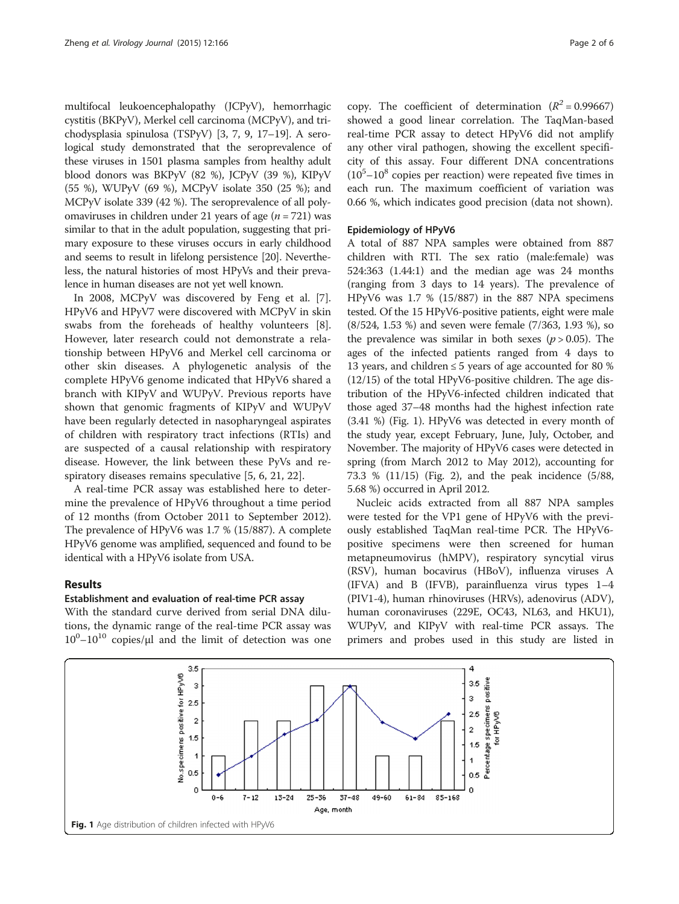multifocal leukoencephalopathy (JCPyV), hemorrhagic cystitis (BKPyV), Merkel cell carcinoma (MCPyV), and trichodysplasia spinulosa (TSPyV) [\[3](#page-5-0), [7, 9](#page-5-0), [17](#page-5-0)–[19](#page-5-0)]. A serological study demonstrated that the seroprevalence of these viruses in 1501 plasma samples from healthy adult blood donors was BKPyV (82 %), JCPyV (39 %), KIPyV (55 %), WUPyV (69 %), MCPyV isolate 350 (25 %); and MCPyV isolate 339 (42 %). The seroprevalence of all polyomaviruses in children under 21 years of age ( $n = 721$ ) was similar to that in the adult population, suggesting that primary exposure to these viruses occurs in early childhood and seems to result in lifelong persistence [\[20](#page-5-0)]. Nevertheless, the natural histories of most HPyVs and their prevalence in human diseases are not yet well known.

In 2008, MCPyV was discovered by Feng et al. [\[7](#page-5-0)]. HPyV6 and HPyV7 were discovered with MCPyV in skin swabs from the foreheads of healthy volunteers [\[8](#page-5-0)]. However, later research could not demonstrate a relationship between HPyV6 and Merkel cell carcinoma or other skin diseases. A phylogenetic analysis of the complete HPyV6 genome indicated that HPyV6 shared a branch with KIPyV and WUPyV. Previous reports have shown that genomic fragments of KIPyV and WUPyV have been regularly detected in nasopharyngeal aspirates of children with respiratory tract infections (RTIs) and are suspected of a causal relationship with respiratory disease. However, the link between these PyVs and respiratory diseases remains speculative [\[5](#page-5-0), [6](#page-5-0), [21](#page-5-0), [22\]](#page-5-0).

A real-time PCR assay was established here to determine the prevalence of HPyV6 throughout a time period of 12 months (from October 2011 to September 2012). The prevalence of HPyV6 was 1.7 % (15/887). A complete HPyV6 genome was amplified, sequenced and found to be identical with a HPyV6 isolate from USA.

# Results

#### Establishment and evaluation of real-time PCR assay

With the standard curve derived from serial DNA dilutions, the dynamic range of the real-time PCR assay was  $10^{0}$ - $10^{10}$  copies/ $\mu$ l and the limit of detection was one

copy. The coefficient of determination  $(R^2 = 0.99667)$ showed a good linear correlation. The TaqMan-based real-time PCR assay to detect HPyV6 did not amplify any other viral pathogen, showing the excellent specificity of this assay. Four different DNA concentrations  $(10<sup>5</sup> - 10<sup>8</sup>$  copies per reaction) were repeated five times in each run. The maximum coefficient of variation was 0.66 %, which indicates good precision (data not shown).

### Epidemiology of HPyV6

A total of 887 NPA samples were obtained from 887 children with RTI. The sex ratio (male:female) was 524:363 (1.44:1) and the median age was 24 months (ranging from 3 days to 14 years). The prevalence of HPyV6 was 1.7 % (15/887) in the 887 NPA specimens tested. Of the 15 HPyV6-positive patients, eight were male (8/524, 1.53 %) and seven were female (7/363, 1.93 %), so the prevalence was similar in both sexes ( $p > 0.05$ ). The ages of the infected patients ranged from 4 days to 13 years, and children ≤ 5 years of age accounted for 80 % (12/15) of the total HPyV6-positive children. The age distribution of the HPyV6-infected children indicated that those aged 37–48 months had the highest infection rate (3.41 %) (Fig. 1). HPyV6 was detected in every month of the study year, except February, June, July, October, and November. The majority of HPyV6 cases were detected in spring (from March 2012 to May 2012), accounting for 73.3 % (11/15) (Fig. [2](#page-2-0)), and the peak incidence (5/88, 5.68 %) occurred in April 2012.

Nucleic acids extracted from all 887 NPA samples were tested for the VP1 gene of HPyV6 with the previously established TaqMan real-time PCR. The HPyV6 positive specimens were then screened for human metapneumovirus (hMPV), respiratory syncytial virus (RSV), human bocavirus (HBoV), influenza viruses A (IFVA) and B (IFVB), parainfluenza virus types 1–4 (PIV1-4), human rhinoviruses (HRVs), adenovirus (ADV), human coronaviruses (229E, OC43, NL63, and HKU1), WUPyV, and KIPyV with real-time PCR assays. The primers and probes used in this study are listed in

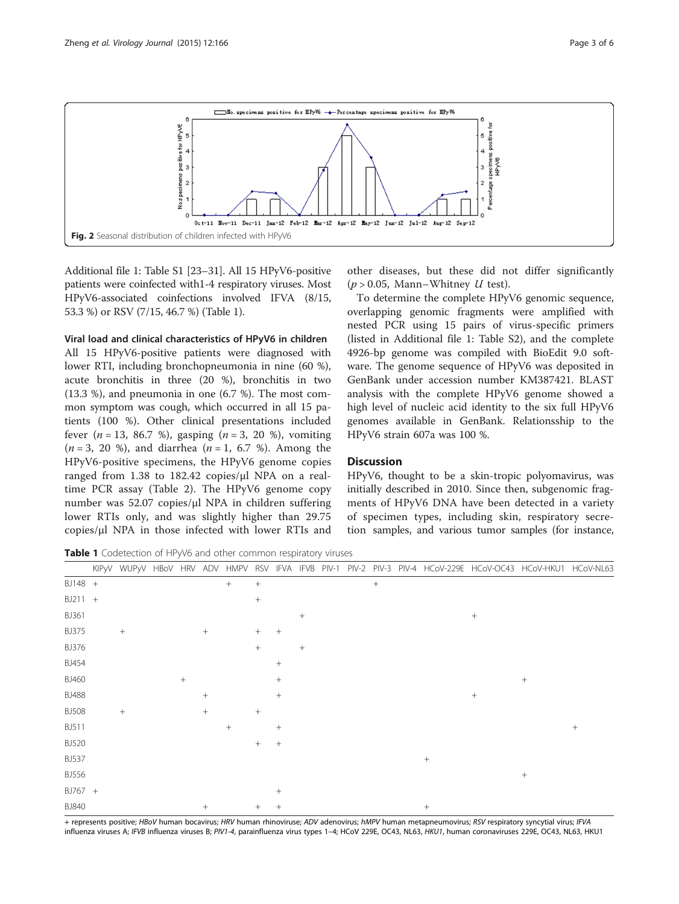<span id="page-2-0"></span>

Additional file [1:](#page-4-0) Table S1 [\[23](#page-5-0)–[31](#page-5-0)]. All 15 HPyV6-positive patients were coinfected with1-4 respiratory viruses. Most HPyV6-associated coinfections involved IFVA (8/15, 53.3 %) or RSV (7/15, 46.7 %) (Table 1).

Viral load and clinical characteristics of HPyV6 in children All 15 HPyV6-positive patients were diagnosed with lower RTI, including bronchopneumonia in nine (60 %), acute bronchitis in three (20 %), bronchitis in two (13.3 %), and pneumonia in one (6.7 %). The most common symptom was cough, which occurred in all 15 patients (100 %). Other clinical presentations included fever ( $n = 13$ , 86.7 %), gasping ( $n = 3$ , 20 %), vomiting  $(n = 3, 20, 8)$ , and diarrhea  $(n = 1, 6.7, 8)$ . Among the HPyV6-positive specimens, the HPyV6 genome copies ranged from 1.38 to 182.42 copies/μl NPA on a realtime PCR assay (Table [2\)](#page-3-0). The HPyV6 genome copy number was 52.07 copies/μl NPA in children suffering lower RTIs only, and was slightly higher than 29.75 copies/μl NPA in those infected with lower RTIs and other diseases, but these did not differ significantly  $(p > 0.05,$  Mann–Whitney U test).

To determine the complete HPyV6 genomic sequence, overlapping genomic fragments were amplified with nested PCR using 15 pairs of virus-specific primers (listed in Additional file [1:](#page-4-0) Table S2), and the complete 4926-bp genome was compiled with BioEdit 9.0 software. The genome sequence of HPyV6 was deposited in GenBank under accession number KM387421. BLAST analysis with the complete HPyV6 genome showed a high level of nucleic acid identity to the six full HPyV6 genomes available in GenBank. Relationsship to the HPyV6 strain 607a was 100 %.

## **Discussion**

HPyV6, thought to be a skin-tropic polyomavirus, was initially described in 2010. Since then, subgenomic fragments of HPyV6 DNA have been detected in a variety of specimen types, including skin, respiratory secretion samples, and various tumor samples (for instance,

Table 1 Codetection of HPyV6 and other common respiratory viruses

|              | KIPyV WUPyV HBoV HRV ADV |                 |        | <b>HMPV</b>     | <b>RSV</b>      | <b>IFVA</b> | <b>IFVB</b>     | $PIV-1$ |                  |                 | PIV-2 PIV-3 PIV-4 HCoV-229E HCoV-OC43 HCoV-HKU1 HCoV-NL63 |     |        |
|--------------|--------------------------|-----------------|--------|-----------------|-----------------|-------------|-----------------|---------|------------------|-----------------|-----------------------------------------------------------|-----|--------|
| BJ148 +      |                          |                 |        | $^{+}$          | $\! + \!\!\!\!$ |             |                 |         | $\boldsymbol{+}$ |                 |                                                           |     |        |
| BJ211 +      |                          |                 |        |                 | $\! + \!\!\!\!$ |             |                 |         |                  |                 |                                                           |     |        |
| BJ361        |                          |                 |        |                 |                 |             |                 |         |                  |                 | $^{+}$                                                    |     |        |
| <b>BJ375</b> | $^{+}$                   |                 | $+$    |                 | $+$             | $+$         |                 |         |                  |                 |                                                           |     |        |
| <b>BJ376</b> |                          |                 |        |                 | $+$             |             | $\! + \!\!\!\!$ |         |                  |                 |                                                           |     |        |
| <b>BJ454</b> |                          |                 |        |                 |                 | $+$         |                 |         |                  |                 |                                                           |     |        |
| <b>BJ460</b> |                          | $\! + \!\!\!\!$ |        |                 |                 | $^{+}$      |                 |         |                  |                 |                                                           | $+$ |        |
| <b>BJ488</b> |                          |                 | $^{+}$ |                 |                 | $^{+}$      |                 |         |                  |                 | $\! + \!\!\!\!$                                           |     |        |
| <b>BJ508</b> | $^{+}$                   |                 | $+$    |                 | $\! + \!\!\!\!$ |             |                 |         |                  |                 |                                                           |     |        |
| BJ511        |                          |                 |        | $\! + \!\!\!\!$ |                 |             |                 |         |                  |                 |                                                           |     | $\! +$ |
| <b>BJ520</b> |                          |                 |        |                 | $\! + \!\!\!\!$ | $^{+}$      |                 |         |                  |                 |                                                           |     |        |
| <b>BJ537</b> |                          |                 |        |                 |                 |             |                 |         |                  | $\! + \!\!\!\!$ |                                                           |     |        |
| <b>BJ556</b> |                          |                 |        |                 |                 |             |                 |         |                  |                 |                                                           | $+$ |        |
| BJ767 +      |                          |                 |        |                 |                 | $^{+}$      |                 |         |                  |                 |                                                           |     |        |
| <b>BJ840</b> |                          |                 | $^{+}$ |                 | $^+$            | $^{+}$      |                 |         |                  | $^{+}$          |                                                           |     |        |

+ represents positive; HBoV human bocavirus; HRV human rhinoviruse; ADV adenovirus; hMPV human metapneumovirus; RSV respiratory syncytial virus; IFVA influenza viruses A; IFVB influenza viruses B; PIV1-4, parainfluenza virus types 1–4; HCoV 229E, OC43, NL63, HKU1, human coronaviruses 229E, OC43, NL63, HKU1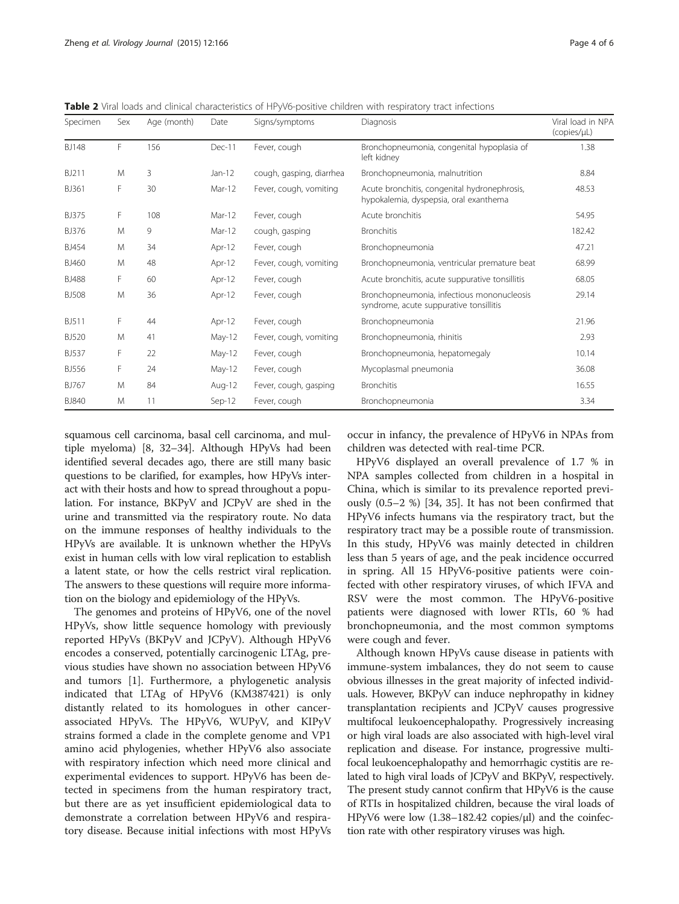| Sex<br>Specimen |   | Age (month) | Date     | Signs/symptoms           | Diagnosis                                                                              | Viral load in NPA<br>(copies/µL) |  |
|-----------------|---|-------------|----------|--------------------------|----------------------------------------------------------------------------------------|----------------------------------|--|
| <b>BJ148</b>    | F | 156         | Dec-11   | Fever, cough             | Bronchopneumonia, congenital hypoplasia of<br>left kidney                              | 1.38                             |  |
| BJ211           | M | 3           | $Jan-12$ | cough, gasping, diarrhea | Bronchopneumonia, malnutrition                                                         | 8.84                             |  |
| BJ361           | F | 30          | Mar-12   | Fever, cough, vomiting   | Acute bronchitis, congenital hydronephrosis,<br>hypokalemia, dyspepsia, oral exanthema | 48.53                            |  |
| <b>BJ375</b>    | F | 108         | Mar-12   | Fever, cough             | Acute bronchitis                                                                       | 54.95                            |  |
| <b>BJ376</b>    | M | 9           | Mar-12   | cough, gasping           | <b>Bronchitis</b>                                                                      | 182.42                           |  |
| <b>BJ454</b>    | M | 34          | Apr-12   | Fever, cough             | Bronchopneumonia                                                                       | 47.21                            |  |
| <b>BJ460</b>    | M | 48          | Apr-12   | Fever, cough, vomiting   | Bronchopneumonia, ventricular premature beat                                           | 68.99                            |  |
| <b>BJ488</b>    | F | 60          | $Apr-12$ | Fever, cough             | Acute bronchitis, acute suppurative tonsillitis                                        | 68.05                            |  |
| <b>BJ508</b>    | M | 36          | $Apr-12$ | Fever, cough             | Bronchopneumonia, infectious mononucleosis<br>syndrome, acute suppurative tonsillitis  | 29.14                            |  |
| <b>BJ511</b>    | F | 44          | $Apr-12$ | Fever, cough             | Bronchopneumonia                                                                       | 21.96                            |  |
| <b>BJ520</b>    | M | 41          | May-12   | Fever, cough, vomiting   | Bronchopneumonia, rhinitis                                                             | 2.93                             |  |
| <b>BJ537</b>    | F | 22          | May-12   | Fever, cough             | Bronchopneumonia, hepatomegaly                                                         | 10.14                            |  |
| <b>BJ556</b>    | F | 24          | May-12   | Fever, cough             | Mycoplasmal pneumonia                                                                  | 36.08                            |  |
| <b>BJ767</b>    | M | 84          | Aug-12   | Fever, cough, gasping    | <b>Bronchitis</b>                                                                      | 16.55                            |  |
| <b>BJ840</b>    | M | 11          | $Sep-12$ | Fever, cough             | Bronchopneumonia                                                                       | 3.34                             |  |

<span id="page-3-0"></span>Table 2 Viral loads and clinical characteristics of HPyV6-positive children with respiratory tract infections

squamous cell carcinoma, basal cell carcinoma, and multiple myeloma) [[8, 32](#page-5-0)–[34](#page-5-0)]. Although HPyVs had been identified several decades ago, there are still many basic questions to be clarified, for examples, how HPyVs interact with their hosts and how to spread throughout a population. For instance, BKPyV and JCPyV are shed in the urine and transmitted via the respiratory route. No data on the immune responses of healthy individuals to the HPyVs are available. It is unknown whether the HPyVs exist in human cells with low viral replication to establish a latent state, or how the cells restrict viral replication. The answers to these questions will require more information on the biology and epidemiology of the HPyVs.

The genomes and proteins of HPyV6, one of the novel HPyVs, show little sequence homology with previously reported HPyVs (BKPyV and JCPyV). Although HPyV6 encodes a conserved, potentially carcinogenic LTAg, previous studies have shown no association between HPyV6 and tumors [[1\]](#page-5-0). Furthermore, a phylogenetic analysis indicated that LTAg of HPyV6 (KM387421) is only distantly related to its homologues in other cancerassociated HPyVs. The HPyV6, WUPyV, and KIPyV strains formed a clade in the complete genome and VP1 amino acid phylogenies, whether HPyV6 also associate with respiratory infection which need more clinical and experimental evidences to support. HPyV6 has been detected in specimens from the human respiratory tract, but there are as yet insufficient epidemiological data to demonstrate a correlation between HPyV6 and respiratory disease. Because initial infections with most HPyVs occur in infancy, the prevalence of HPyV6 in NPAs from children was detected with real-time PCR.

HPyV6 displayed an overall prevalence of 1.7 % in NPA samples collected from children in a hospital in China, which is similar to its prevalence reported previously (0.5–2 %) [[34, 35](#page-5-0)]. It has not been confirmed that HPyV6 infects humans via the respiratory tract, but the respiratory tract may be a possible route of transmission. In this study, HPyV6 was mainly detected in children less than 5 years of age, and the peak incidence occurred in spring. All 15 HPyV6-positive patients were coinfected with other respiratory viruses, of which IFVA and RSV were the most common. The HPyV6-positive patients were diagnosed with lower RTIs, 60 % had bronchopneumonia, and the most common symptoms were cough and fever.

Although known HPyVs cause disease in patients with immune-system imbalances, they do not seem to cause obvious illnesses in the great majority of infected individuals. However, BKPyV can induce nephropathy in kidney transplantation recipients and JCPyV causes progressive multifocal leukoencephalopathy. Progressively increasing or high viral loads are also associated with high-level viral replication and disease. For instance, progressive multifocal leukoencephalopathy and hemorrhagic cystitis are related to high viral loads of JCPyV and BKPyV, respectively. The present study cannot confirm that HPyV6 is the cause of RTIs in hospitalized children, because the viral loads of HPyV6 were low (1.38–182.42 copies/μl) and the coinfection rate with other respiratory viruses was high.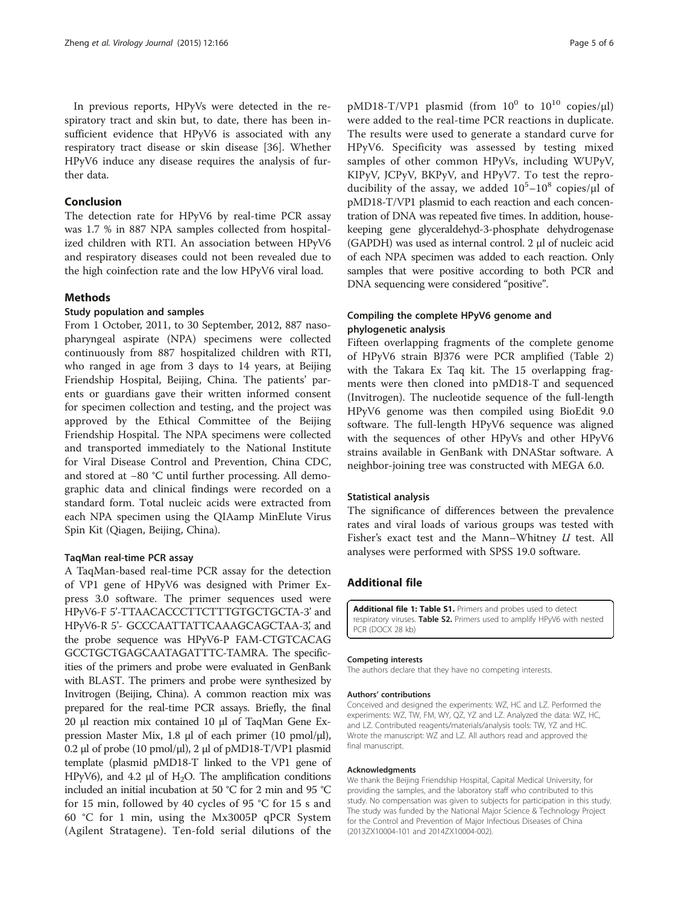<span id="page-4-0"></span>In previous reports, HPyVs were detected in the respiratory tract and skin but, to date, there has been insufficient evidence that HPyV6 is associated with any respiratory tract disease or skin disease [\[36](#page-5-0)]. Whether HPyV6 induce any disease requires the analysis of further data.

# Conclusion

The detection rate for HPyV6 by real-time PCR assay was 1.7 % in 887 NPA samples collected from hospitalized children with RTI. An association between HPyV6 and respiratory diseases could not been revealed due to the high coinfection rate and the low HPyV6 viral load.

#### Methods

### Study population and samples

From 1 October, 2011, to 30 September, 2012, 887 nasopharyngeal aspirate (NPA) specimens were collected continuously from 887 hospitalized children with RTI, who ranged in age from 3 days to 14 years, at Beijing Friendship Hospital, Beijing, China. The patients' parents or guardians gave their written informed consent for specimen collection and testing, and the project was approved by the Ethical Committee of the Beijing Friendship Hospital. The NPA specimens were collected and transported immediately to the National Institute for Viral Disease Control and Prevention, China CDC, and stored at −80 °C until further processing. All demographic data and clinical findings were recorded on a standard form. Total nucleic acids were extracted from each NPA specimen using the QIAamp MinElute Virus Spin Kit (Qiagen, Beijing, China).

# TaqMan real-time PCR assay

A TaqMan-based real-time PCR assay for the detection of VP1 gene of HPyV6 was designed with Primer Express 3.0 software. The primer sequences used were HPyV6-F 5'-TTAACACCCTTCTTTGTGCTGCTA-3' and HPyV6-R 5'- GCCCAATTATTCAAAGCAGCTAA-3, and ' the probe sequence was HPyV6-P FAM-CTGTCACAG GCCTGCTGAGCAATAGATTTC-TAMRA. The specificities of the primers and probe were evaluated in GenBank with BLAST. The primers and probe were synthesized by Invitrogen (Beijing, China). A common reaction mix was prepared for the real-time PCR assays. Briefly, the final 20 μl reaction mix contained 10 μl of TaqMan Gene Expression Master Mix, 1.8 μl of each primer (10 pmol/μl), 0.2 μl of probe (10 pmol/μl), 2 μl of pMD18-T/VP1 plasmid template (plasmid pMD18-T linked to the VP1 gene of HPyV6), and 4.2  $\mu$ l of H<sub>2</sub>O. The amplification conditions included an initial incubation at 50  $^{\circ}\textrm{C}$  for 2 min and 95  $^{\circ}\textrm{C}$ for 15 min, followed by 40 cycles of 95 °C for 15 s and 60 °C for 1 min, using the Mx3005P qPCR System (Agilent Stratagene). Ten-fold serial dilutions of the

pMD18-T/VP1 plasmid (from  $10^0$  to  $10^{10}$  copies/ $\mu$ l) were added to the real-time PCR reactions in duplicate. The results were used to generate a standard curve for HPyV6. Specificity was assessed by testing mixed samples of other common HPyVs, including WUPyV, KIPyV, JCPyV, BKPyV, and HPyV7. To test the reproducibility of the assay, we added  $10^5 - 10^8$  copies/ $\mu$ l of pMD18-T/VP1 plasmid to each reaction and each concentration of DNA was repeated five times. In addition, housekeeping gene glyceraldehyd-3-phosphate dehydrogenase (GAPDH) was used as internal control. 2 μl of nucleic acid of each NPA specimen was added to each reaction. Only samples that were positive according to both PCR and DNA sequencing were considered "positive".

# Compiling the complete HPyV6 genome and phylogenetic analysis

Fifteen overlapping fragments of the complete genome of HPyV6 strain BJ376 were PCR amplified (Table [2](#page-3-0)) with the Takara Ex Taq kit. The 15 overlapping fragments were then cloned into pMD18-T and sequenced (Invitrogen). The nucleotide sequence of the full-length HPyV6 genome was then compiled using BioEdit 9.0 software. The full-length HPyV6 sequence was aligned with the sequences of other HPyVs and other HPyV6 strains available in GenBank with DNAStar software. A neighbor-joining tree was constructed with MEGA 6.0.

#### Statistical analysis

The significance of differences between the prevalence rates and viral loads of various groups was tested with Fisher's exact test and the Mann–Whitney U test. All analyses were performed with SPSS 19.0 software.

# Additional file

[Additional file 1: Table S1.](http://www.virologyj.com/content/supplementary/s12985-015-0390-5-s1.docx) Primers and probes used to detect respiratory viruses. Table S2. Primers used to amplify HPyV6 with nested PCR (DOCX 28 kb)

#### Competing interests

The authors declare that they have no competing interests.

#### Authors' contributions

Conceived and designed the experiments: WZ, HC and LZ. Performed the experiments: WZ, TW, FM, WY, QZ, YZ and LZ. Analyzed the data: WZ, HC, and LZ. Contributed reagents/materials/analysis tools: TW, YZ and HC. Wrote the manuscript: WZ and LZ. All authors read and approved the final manuscript.

#### Acknowledgments

We thank the Beijing Friendship Hospital, Capital Medical University, for providing the samples, and the laboratory staff who contributed to this study. No compensation was given to subjects for participation in this study. The study was funded by the National Major Science & Technology Project for the Control and Prevention of Major Infectious Diseases of China (2013ZX10004-101 and 2014ZX10004-002).